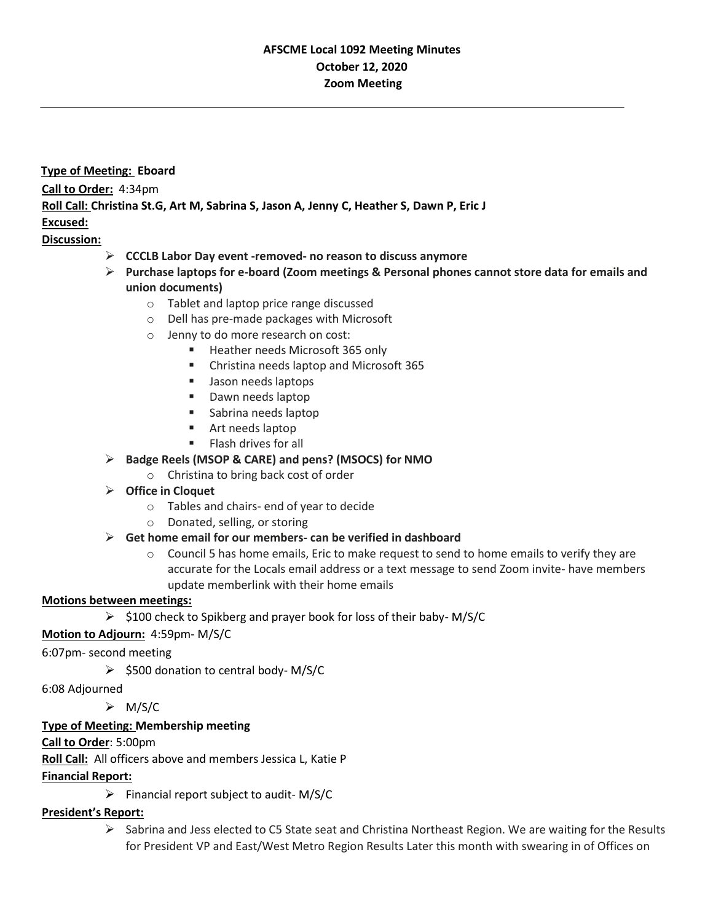# **AFSCME Local 1092 Meeting Minutes October 12, 2020 Zoom Meeting**

**Type of Meeting: Eboard Call to Order:** 4:34pm **Roll Call: Christina St.G, Art M, Sabrina S, Jason A, Jenny C, Heather S, Dawn P, Eric J Excused:**

## **Discussion:**

- ➢ **CCCLB Labor Day event -removed- no reason to discuss anymore**
- ➢ **Purchase laptops for e-board (Zoom meetings & Personal phones cannot store data for emails and union documents)**
	- o Tablet and laptop price range discussed
		- o Dell has pre-made packages with Microsoft
		- o Jenny to do more research on cost:
			- Heather needs Microsoft 365 only
			- Christina needs laptop and Microsoft 365
			- Jason needs laptops
			- Dawn needs laptop
			- Sabrina needs laptop
			- Art needs laptop
			- Flash drives for all
- ➢ **Badge Reels (MSOP & CARE) and pens? (MSOCS) for NMO**
	- o Christina to bring back cost of order
- ➢ **Office in Cloquet**
	- o Tables and chairs- end of year to decide
	- o Donated, selling, or storing

### ➢ **Get home email for our members- can be verified in dashboard**

 $\circ$  Council 5 has home emails, Eric to make request to send to home emails to verify they are accurate for the Locals email address or a text message to send Zoom invite- have members update memberlink with their home emails

### **Motions between meetings:**

 $\geq$  \$100 check to Spikberg and prayer book for loss of their baby-M/S/C

## **Motion to Adjourn:** 4:59pm- M/S/C

## 6:07pm- second meeting

➢ \$500 donation to central body- M/S/C

6:08 Adjourned

➢ M/S/C

## **Type of Meeting: Membership meeting**

**Call to Order**: 5:00pm

**Roll Call:** All officers above and members Jessica L, Katie P

**Financial Report:**

 $\triangleright$  Financial report subject to audit- M/S/C

## **President's Report:**

 $\triangleright$  Sabrina and Jess elected to C5 State seat and Christina Northeast Region. We are waiting for the Results for President VP and East/West Metro Region Results Later this month with swearing in of Offices on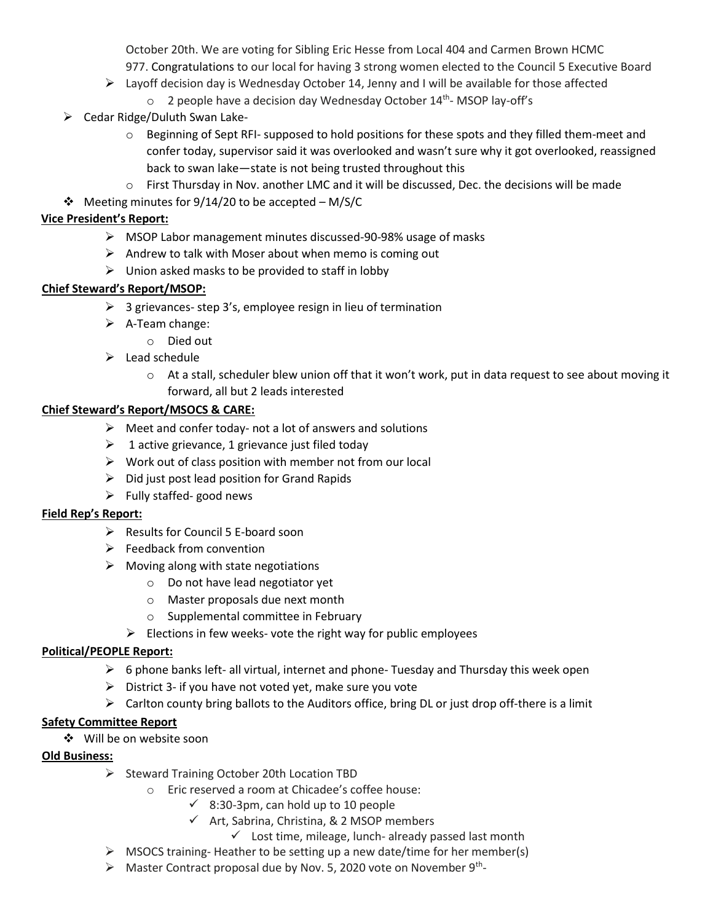October 20th. We are voting for Sibling Eric Hesse from Local 404 and Carmen Brown HCMC 977. Congratulations to our local for having 3 strong women elected to the Council 5 Executive Board

- $\triangleright$  Layoff decision day is Wednesday October 14, Jenny and I will be available for those affected
	- $\circ$  2 people have a decision day Wednesday October 14<sup>th</sup>-MSOP lay-off's
- ➢ Cedar Ridge/Duluth Swan Lake
	- o Beginning of Sept RFI- supposed to hold positions for these spots and they filled them-meet and confer today, supervisor said it was overlooked and wasn't sure why it got overlooked, reassigned back to swan lake—state is not being trusted throughout this
	- $\circ$  First Thursday in Nov. another LMC and it will be discussed, Dec. the decisions will be made
- ❖ Meeting minutes for 9/14/20 to be accepted M/S/C

## **Vice President's Report:**

- ➢ MSOP Labor management minutes discussed-90-98% usage of masks
- $\triangleright$  Andrew to talk with Moser about when memo is coming out
- $\triangleright$  Union asked masks to be provided to staff in lobby

## **Chief Steward's Report/MSOP:**

- $\geq$  3 grievances-step 3's, employee resign in lieu of termination
- ➢ A-Team change:
	- o Died out
- $\triangleright$  Lead schedule
	- $\circ$  At a stall, scheduler blew union off that it won't work, put in data request to see about moving it forward, all but 2 leads interested

### **Chief Steward's Report/MSOCS & CARE:**

- $\triangleright$  Meet and confer today- not a lot of answers and solutions
- $\geq 1$  active grievance, 1 grievance just filed today
- $\triangleright$  Work out of class position with member not from our local
- $\triangleright$  Did just post lead position for Grand Rapids
- $\triangleright$  Fully staffed- good news

### **Field Rep's Report:**

- ➢ Results for Council 5 E-board soon
- $\triangleright$  Feedback from convention
- $\triangleright$  Moving along with state negotiations
	- o Do not have lead negotiator yet
	- o Master proposals due next month
	- o Supplemental committee in February
	- $\triangleright$  Elections in few weeks- vote the right way for public employees

### **Political/PEOPLE Report:**

- $\triangleright$  6 phone banks left- all virtual, internet and phone-Tuesday and Thursday this week open
- $\triangleright$  District 3- if you have not voted yet, make sure you vote
- $\triangleright$  Carlton county bring ballots to the Auditors office, bring DL or just drop off-there is a limit

### **Safety Committee Report**

❖ Will be on website soon

### **Old Business:**

- ➢ Steward Training October 20th Location TBD
	- o Eric reserved a room at Chicadee's coffee house:
		- $\checkmark$  8:30-3pm, can hold up to 10 people
		- ✓ Art, Sabrina, Christina, & 2 MSOP members
			- $\checkmark$  Lost time, mileage, lunch- already passed last month
- ➢ MSOCS training- Heather to be setting up a new date/time for her member(s)
- $\triangleright$  Master Contract proposal due by Nov. 5, 2020 vote on November 9<sup>th</sup>-